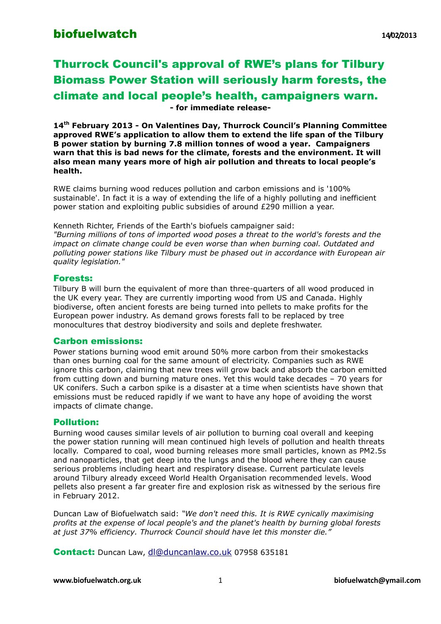### **biofuelwatch** 14/02/2013

# Thurrock Council's approval of RWE's plans for Tilbury Biomass Power Station will seriously harm forests, the climate and local people's health, campaigners warn. **- for immediate release-**

**14th February 2013 - On Valentines Day, Thurrock Council's Planning Committee approved RWE's application to allow them to extend the life span of the Tilbury B power station by burning 7.8 million tonnes of wood a year. Campaigners warn that this is bad news for the climate, forests and the environment. It will also mean many years more of high air pollution and threats to local people's health.** 

RWE claims burning wood reduces pollution and carbon emissions and is '100% sustainable'. In fact it is a way of extending the life of a highly polluting and inefficient power station and exploiting public subsidies of around £290 million a year.

Kenneth Richter, Friends of the Earth's biofuels campaigner said:

*"Burning millions of tons of imported wood poses a threat to the world's forests and the*  impact on climate change could be even worse than when burning coal. Outdated and *polluting power stations like Tilbury must be phased out in accordance with European air quality legislation."*

#### Forests:

Tilbury B will burn the equivalent of more than three-quarters of all wood produced in the UK every year. They are currently importing wood from US and Canada. Highly biodiverse, often ancient forests are being turned into pellets to make profits for the European power industry. As demand grows forests fall to be replaced by tree monocultures that destroy biodiversity and soils and deplete freshwater.

#### Carbon emissions:

Power stations burning wood emit around 50% more carbon from their smokestacks than ones burning coal for the same amount of electricity. Companies such as RWE ignore this carbon, claiming that new trees will grow back and absorb the carbon emitted from cutting down and burning mature ones. Yet this would take decades – 70 years for UK conifers. Such a carbon spike is a disaster at a time when scientists have shown that emissions must be reduced rapidly if we want to have any hope of avoiding the worst impacts of climate change.

#### Pollution:

Burning wood causes similar levels of air pollution to burning coal overall and keeping the power station running will mean continued high levels of pollution and health threats locally. Compared to coal, wood burning releases more small particles, known as PM2.5s and nanoparticles, that get deep into the lungs and the blood where they can cause serious problems including heart and respiratory disease. Current particulate levels around Tilbury already exceed World Health Organisation recommended levels. Wood pellets also present a far greater fire and explosion risk as witnessed by the serious fire in February 2012.

Duncan Law of Biofuelwatch said: *"We don't need this. It is RWE cynically maximising profits at the expense of local people's and the planet's health by burning global forests at just 37% efficiency. Thurrock Council should have let this monster die."*

Contact: Duncan Law, [dl@duncanlaw.co.uk](mailto:dl@duncanlaw.co.uk) 07958 635181